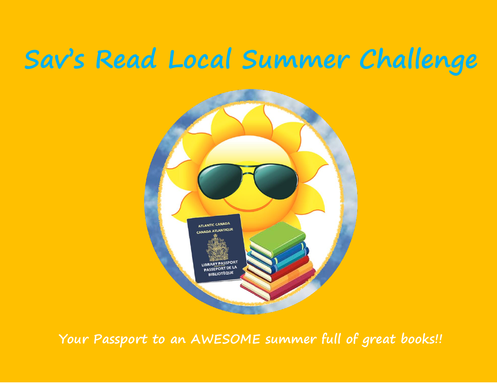# **Sav's Read Local Summer Challenge**



**Your Passport to an AWESOME summer full of great books!!**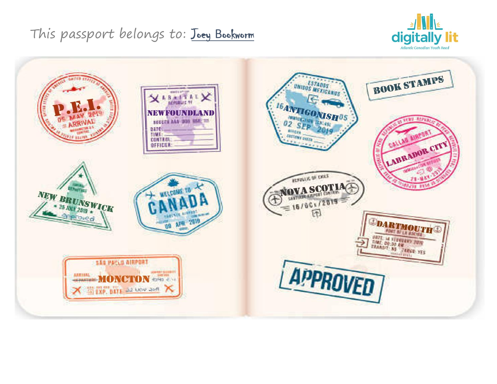

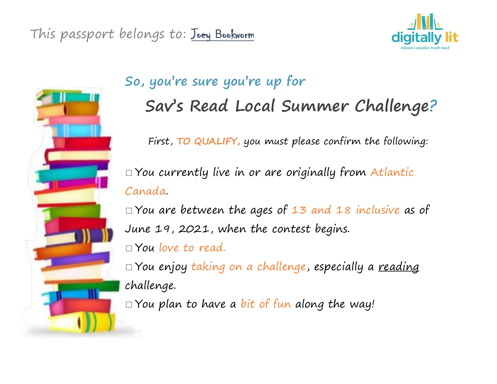



## **So, you're sure you're up for Sav's Read Local Summer Challenge?**

First, **TO QUALIFY,** you must please confirm the following:

 $\Box$  You currently live in or are originally from Atlantic Canada.

□ You are between the ages of 13 and 18 inclusive as of June 19, 2021, when the contest begins.  $\Box$  You love to read.

□ You enjoy taking on a challenge, especially a <u>reading</u> challenge.

 $\Box$  You plan to have a bit of fun along the way!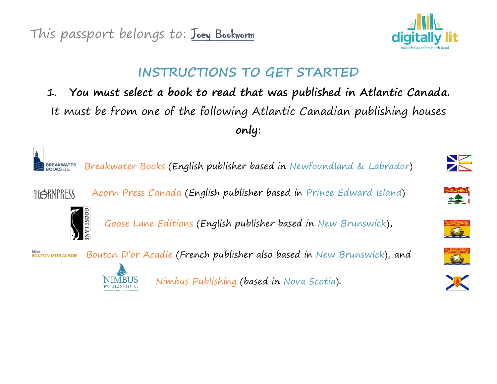

## **INSTRUCTIONS TO GET STARTED**

1. **You must select a book to read that was published in Atlantic Canada.**  It must be from one of the following Atlantic Canadian publishing houses **only**:



Breakwater Books (English publisher based in Newfoundland & Labrador)

AGERNPRESS





Goose Lane Editions (English publisher based in New Brunswick),

**Editions**<br>**BOUTON D'OR ACADIE** Bouton D'or Acadie (French publisher also based in New Brunswick), and



Nimbus Publishing (based in Nova Scotia).









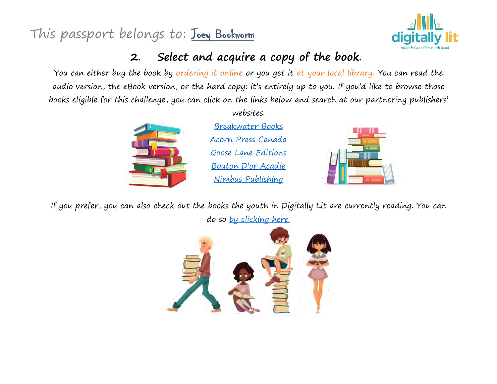

### **2. Select and acquire a copy of the book.**

You can either buy the book by ordering it online or you get it at your local library. You can read the audio version, the eBook version, or the hard copy: it's entirely up to you. If you'd like to browse those books eligible for this challenge, you can click on the links below and search at our partnering publishers'



websites.

[Breakwater Books](http://www.breakwaterbooks.com/) [Acorn Press Canada](http://www.acornpresscanada.com/) [Goose Lane Editions](http://www.gooselane.com/) [Bouton D'or Aca](http://www.boutondoracadie.com/)die [Nimbus Publishing](http://www.nimbus.ca/)



If you prefer, you can also check out the books the youth in Digitally Lit are currently reading. You can do so <u>[by clicking here.](https://www.digitallylit.ca/youth-reads)</u>

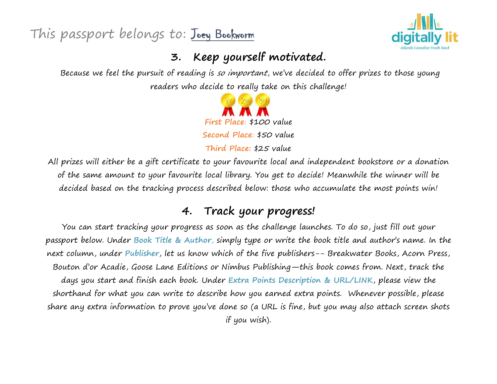

#### **3. Keep yourself motivated.**

Because we feel the pursuit of reading is so important, we've decided to offer prizes to those young readers who decide to really take on this challenge!



All prizes will either be a gift certificate to your favourite local and independent bookstore or a donation of the same amount to your favourite local library. You get to decide! Meanwhile the winner will be decided based on the tracking process described below: those who accumulate the most points win!

#### **4. Track your progress!**

You can start tracking your progress as soon as the challenge launches. To do so, just fill out your passport below. Under **Book Title & Author**, simply type or write the book title and author's name. In the next column, under **Publisher**, let us know which of the five publishers-- Breakwater Books, Acorn Press, Bouton d'or Acadie, Goose Lane Editions or Nimbus Publishing—this book comes from. Next, track the days you start and finish each book. Under **Extra Points Description & URL/LINK**, please view the shorthand for what you can write to describe how you earned extra points. Whenever possible, please share any extra information to prove you've done so (a URL is fine, but you may also attach screen shots if you wish).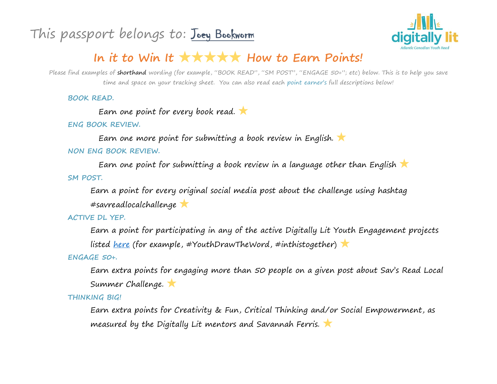

## **In it to Win It** ★★★★★ **How to Earn Points!**

Please find examples of shorthand wording (for example, "BOOK READ", "SM POST", "ENGAGE 50+"; etc) below. This is to help you save time and space on your tracking sheet. You can also read each point earner's full descriptions below!

**BOOK READ.** 

Earn one point for every book read.

**ENG BOOK REVIEW.** 

Earn one more point for submitting a book review in English. ★ **NON ENG BOOK REVIEW.** 

Earn one point for submitting a book review in a language other than English **SM POST.** 

Earn a point for every original social media post about the challenge using hashtag #savreadlocalchallenge ★

#### **ACTIVE DL YEP.**

Earn a point for participating in any of the active Digitally Lit Youth Engagement projects listed <u>[here](https://www.digitallylit.ca/youth-led-projects)</u> (for example, #YouthDrawTheWord, #inthistogether) **X** 

**ENGAGE 50+.** 

Earn extra points for engaging more than 50 people on a given post about Sav's Read Local Summer Challenge. ★

**THINKING BIG!**

Earn extra points for Creativity & Fun, Critical Thinking and/or Social Empowerment, as measured by the Digitally Lit mentors and Savannah Ferris. ★